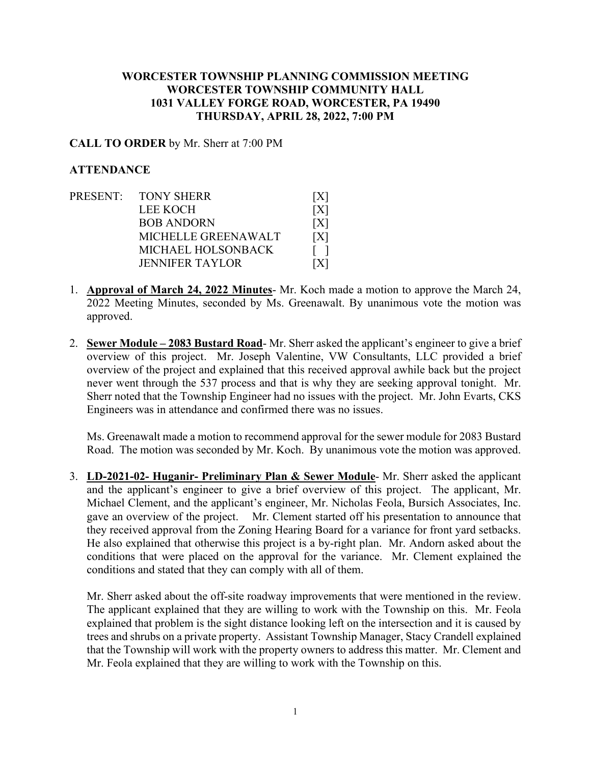## **WORCESTER TOWNSHIP PLANNING COMMISSION MEETING WORCESTER TOWNSHIP COMMUNITY HALL 1031 VALLEY FORGE ROAD, WORCESTER, PA 19490 THURSDAY, APRIL 28, 2022, 7:00 PM**

## **CALL TO ORDER** by Mr. Sherr at 7:00 PM

## **ATTENDANCE**

- PRESENT: TONY SHERR [X] LEE KOCH [X] BOB ANDORN [X] MICHELLE GREENAWALT [X] MICHAEL HOLSONBACK [ ] JENNIFER TAYLOR [X]
- 1. **Approval of March 24, 2022 Minutes** Mr. Koch made a motion to approve the March 24, 2022 Meeting Minutes, seconded by Ms. Greenawalt. By unanimous vote the motion was approved.
- 2. **Sewer Module – 2083 Bustard Road** Mr. Sherr asked the applicant's engineer to give a brief overview of this project. Mr. Joseph Valentine, VW Consultants, LLC provided a brief overview of the project and explained that this received approval awhile back but the project never went through the 537 process and that is why they are seeking approval tonight. Mr. Sherr noted that the Township Engineer had no issues with the project. Mr. John Evarts, CKS Engineers was in attendance and confirmed there was no issues.

Ms. Greenawalt made a motion to recommend approval for the sewer module for 2083 Bustard Road. The motion was seconded by Mr. Koch. By unanimous vote the motion was approved.

3. **LD-2021-02- Huganir- Preliminary Plan & Sewer Module**- Mr. Sherr asked the applicant and the applicant's engineer to give a brief overview of this project. The applicant, Mr. Michael Clement, and the applicant's engineer, Mr. Nicholas Feola, Bursich Associates, Inc. gave an overview of the project. Mr. Clement started off his presentation to announce that they received approval from the Zoning Hearing Board for a variance for front yard setbacks. He also explained that otherwise this project is a by-right plan. Mr. Andorn asked about the conditions that were placed on the approval for the variance. Mr. Clement explained the conditions and stated that they can comply with all of them.

Mr. Sherr asked about the off-site roadway improvements that were mentioned in the review. The applicant explained that they are willing to work with the Township on this. Mr. Feola explained that problem is the sight distance looking left on the intersection and it is caused by trees and shrubs on a private property. Assistant Township Manager, Stacy Crandell explained that the Township will work with the property owners to address this matter. Mr. Clement and Mr. Feola explained that they are willing to work with the Township on this.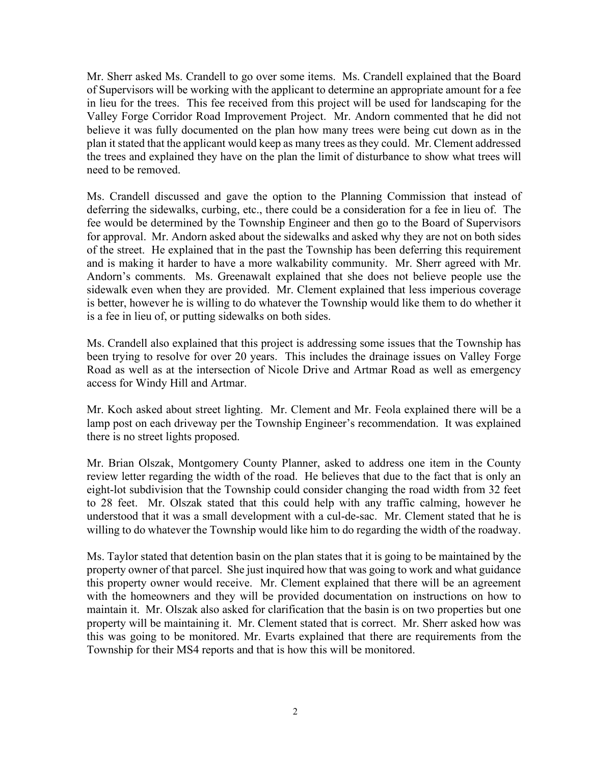Mr. Sherr asked Ms. Crandell to go over some items. Ms. Crandell explained that the Board of Supervisors will be working with the applicant to determine an appropriate amount for a fee in lieu for the trees. This fee received from this project will be used for landscaping for the Valley Forge Corridor Road Improvement Project. Mr. Andorn commented that he did not believe it was fully documented on the plan how many trees were being cut down as in the plan it stated that the applicant would keep as many trees as they could. Mr. Clement addressed the trees and explained they have on the plan the limit of disturbance to show what trees will need to be removed.

Ms. Crandell discussed and gave the option to the Planning Commission that instead of deferring the sidewalks, curbing, etc., there could be a consideration for a fee in lieu of. The fee would be determined by the Township Engineer and then go to the Board of Supervisors for approval. Mr. Andorn asked about the sidewalks and asked why they are not on both sides of the street. He explained that in the past the Township has been deferring this requirement and is making it harder to have a more walkability community. Mr. Sherr agreed with Mr. Andorn's comments. Ms. Greenawalt explained that she does not believe people use the sidewalk even when they are provided. Mr. Clement explained that less imperious coverage is better, however he is willing to do whatever the Township would like them to do whether it is a fee in lieu of, or putting sidewalks on both sides.

Ms. Crandell also explained that this project is addressing some issues that the Township has been trying to resolve for over 20 years. This includes the drainage issues on Valley Forge Road as well as at the intersection of Nicole Drive and Artmar Road as well as emergency access for Windy Hill and Artmar.

Mr. Koch asked about street lighting. Mr. Clement and Mr. Feola explained there will be a lamp post on each driveway per the Township Engineer's recommendation. It was explained there is no street lights proposed.

Mr. Brian Olszak, Montgomery County Planner, asked to address one item in the County review letter regarding the width of the road. He believes that due to the fact that is only an eight-lot subdivision that the Township could consider changing the road width from 32 feet to 28 feet. Mr. Olszak stated that this could help with any traffic calming, however he understood that it was a small development with a cul-de-sac. Mr. Clement stated that he is willing to do whatever the Township would like him to do regarding the width of the roadway.

Ms. Taylor stated that detention basin on the plan states that it is going to be maintained by the property owner of that parcel. She just inquired how that was going to work and what guidance this property owner would receive. Mr. Clement explained that there will be an agreement with the homeowners and they will be provided documentation on instructions on how to maintain it. Mr. Olszak also asked for clarification that the basin is on two properties but one property will be maintaining it. Mr. Clement stated that is correct. Mr. Sherr asked how was this was going to be monitored. Mr. Evarts explained that there are requirements from the Township for their MS4 reports and that is how this will be monitored.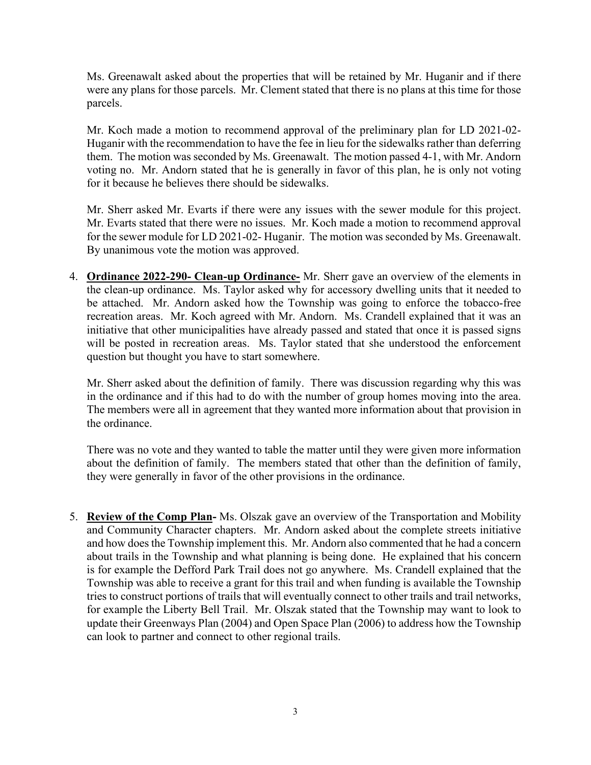Ms. Greenawalt asked about the properties that will be retained by Mr. Huganir and if there were any plans for those parcels. Mr. Clement stated that there is no plans at this time for those parcels.

Mr. Koch made a motion to recommend approval of the preliminary plan for LD 2021-02- Huganir with the recommendation to have the fee in lieu for the sidewalks rather than deferring them. The motion was seconded by Ms. Greenawalt. The motion passed 4-1, with Mr. Andorn voting no. Mr. Andorn stated that he is generally in favor of this plan, he is only not voting for it because he believes there should be sidewalks.

Mr. Sherr asked Mr. Evarts if there were any issues with the sewer module for this project. Mr. Evarts stated that there were no issues. Mr. Koch made a motion to recommend approval for the sewer module for LD 2021-02- Huganir. The motion was seconded by Ms. Greenawalt. By unanimous vote the motion was approved.

4. **Ordinance 2022-290- Clean-up Ordinance-** Mr. Sherr gave an overview of the elements in the clean-up ordinance. Ms. Taylor asked why for accessory dwelling units that it needed to be attached. Mr. Andorn asked how the Township was going to enforce the tobacco-free recreation areas. Mr. Koch agreed with Mr. Andorn. Ms. Crandell explained that it was an initiative that other municipalities have already passed and stated that once it is passed signs will be posted in recreation areas. Ms. Taylor stated that she understood the enforcement question but thought you have to start somewhere.

Mr. Sherr asked about the definition of family. There was discussion regarding why this was in the ordinance and if this had to do with the number of group homes moving into the area. The members were all in agreement that they wanted more information about that provision in the ordinance.

There was no vote and they wanted to table the matter until they were given more information about the definition of family. The members stated that other than the definition of family, they were generally in favor of the other provisions in the ordinance.

5. **Review of the Comp Plan-** Ms. Olszak gave an overview of the Transportation and Mobility and Community Character chapters. Mr. Andorn asked about the complete streets initiative and how does the Township implement this. Mr. Andorn also commented that he had a concern about trails in the Township and what planning is being done. He explained that his concern is for example the Defford Park Trail does not go anywhere. Ms. Crandell explained that the Township was able to receive a grant for this trail and when funding is available the Township tries to construct portions of trails that will eventually connect to other trails and trail networks, for example the Liberty Bell Trail. Mr. Olszak stated that the Township may want to look to update their Greenways Plan (2004) and Open Space Plan (2006) to address how the Township can look to partner and connect to other regional trails.